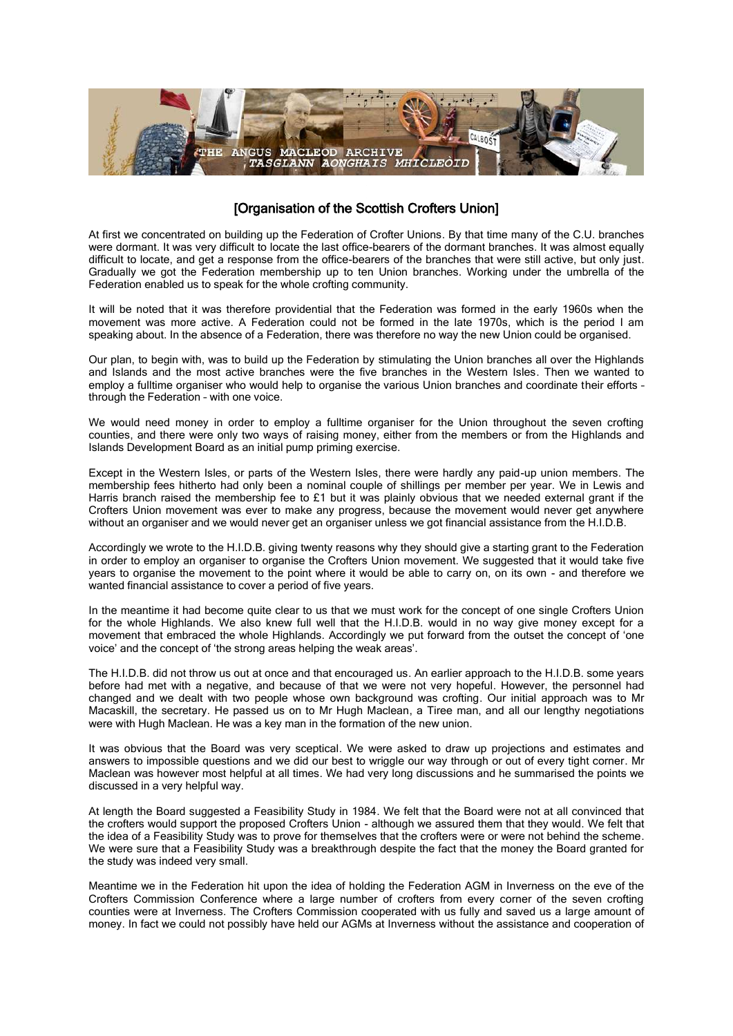

## [Organisation of the Scottish Crofters Union]

At first we concentrated on building up the Federation of Crofter Unions. By that time many of the C.U. branches were dormant. It was very difficult to locate the last office-bearers of the dormant branches. It was almost equally difficult to locate, and get a response from the office-bearers of the branches that were still active, but only just. Gradually we got the Federation membership up to ten Union branches. Working under the umbrella of the Federation enabled us to speak for the whole crofting community.

It will be noted that it was therefore providential that the Federation was formed in the early 1960s when the movement was more active. A Federation could not be formed in the late 1970s, which is the period I am speaking about. In the absence of a Federation, there was therefore no way the new Union could be organised.

Our plan, to begin with, was to build up the Federation by stimulating the Union branches all over the Highlands and Islands and the most active branches were the five branches in the Western Isles. Then we wanted to employ a fulltime organiser who would help to organise the various Union branches and coordinate their efforts – through the Federation – with one voice.

We would need money in order to employ a fulltime organiser for the Union throughout the seven crofting counties, and there were only two ways of raising money, either from the members or from the Highlands and Islands Development Board as an initial pump priming exercise.

Except in the Western Isles, or parts of the Western Isles, there were hardly any paid-up union members. The membership fees hitherto had only been a nominal couple of shillings per member per year. We in Lewis and Harris branch raised the membership fee to £1 but it was plainly obvious that we needed external grant if the Crofters Union movement was ever to make any progress, because the movement would never get anywhere without an organiser and we would never get an organiser unless we got financial assistance from the H.I.D.B.

Accordingly we wrote to the H.I.D.B. giving twenty reasons why they should give a starting grant to the Federation in order to employ an organiser to organise the Crofters Union movement. We suggested that it would take five years to organise the movement to the point where it would be able to carry on, on its own - and therefore we wanted financial assistance to cover a period of five years.

In the meantime it had become quite clear to us that we must work for the concept of one single Crofters Union for the whole Highlands. We also knew full well that the H.I.D.B. would in no way give money except for a movement that embraced the whole Highlands. Accordingly we put forward from the outset the concept of 'one voice' and the concept of 'the strong areas helping the weak areas'.

The H.I.D.B. did not throw us out at once and that encouraged us. An earlier approach to the H.I.D.B. some years before had met with a negative, and because of that we were not very hopeful. However, the personnel had changed and we dealt with two people whose own background was crofting. Our initial approach was to Mr Macaskill, the secretary. He passed us on to Mr Hugh Maclean, a Tiree man, and all our lengthy negotiations were with Hugh Maclean. He was a key man in the formation of the new union.

It was obvious that the Board was very sceptical. We were asked to draw up projections and estimates and answers to impossible questions and we did our best to wriggle our way through or out of every tight corner. Mr Maclean was however most helpful at all times. We had very long discussions and he summarised the points we discussed in a very helpful way.

At length the Board suggested a Feasibility Study in 1984. We felt that the Board were not at all convinced that the crofters would support the proposed Crofters Union - although we assured them that they would. We felt that the idea of a Feasibility Study was to prove for themselves that the crofters were or were not behind the scheme. We were sure that a Feasibility Study was a breakthrough despite the fact that the money the Board granted for the study was indeed very small.

Meantime we in the Federation hit upon the idea of holding the Federation AGM in Inverness on the eve of the Crofters Commission Conference where a large number of crofters from every corner of the seven crofting counties were at Inverness. The Crofters Commission cooperated with us fully and saved us a large amount of money. In fact we could not possibly have held our AGMs at Inverness without the assistance and cooperation of